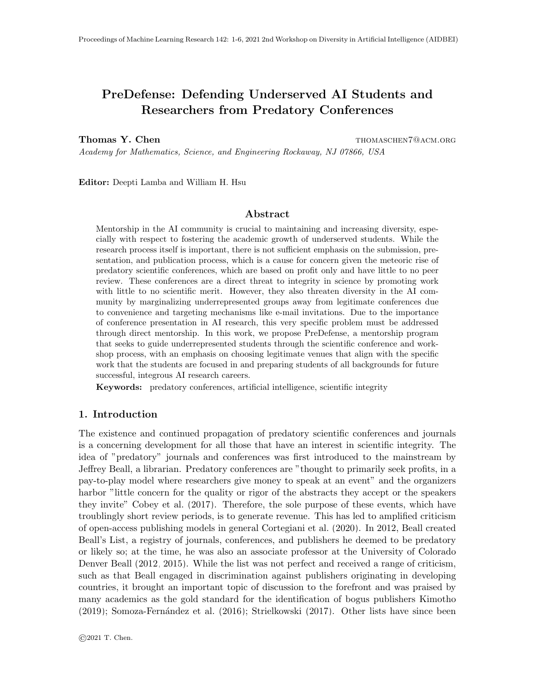# PreDefense: Defending Underserved AI Students and Researchers from Predatory Conferences

Thomas Y. Chen thomaschen thomaschen Thomaschen7@Acm.org

Academy for Mathematics, Science, and Engineering Rockaway, NJ 07866, USA

Editor: Deepti Lamba and William H. Hsu

## Abstract

Mentorship in the AI community is crucial to maintaining and increasing diversity, especially with respect to fostering the academic growth of underserved students. While the research process itself is important, there is not sufficient emphasis on the submission, presentation, and publication process, which is a cause for concern given the meteoric rise of predatory scientific conferences, which are based on profit only and have little to no peer review. These conferences are a direct threat to integrity in science by promoting work with little to no scientific merit. However, they also threaten diversity in the AI community by marginalizing underrepresented groups away from legitimate conferences due to convenience and targeting mechanisms like e-mail invitations. Due to the importance of conference presentation in AI research, this very specific problem must be addressed through direct mentorship. In this work, we propose PreDefense, a mentorship program that seeks to guide underrepresented students through the scientific conference and workshop process, with an emphasis on choosing legitimate venues that align with the specific work that the students are focused in and preparing students of all backgrounds for future successful, integrous AI research careers.

Keywords: predatory conferences, artificial intelligence, scientific integrity

## 1. Introduction

The existence and continued propagation of predatory scientific conferences and journals is a concerning development for all those that have an interest in scientific integrity. The idea of "predatory" journals and conferences was first introduced to the mainstream by Jeffrey Beall, a librarian. Predatory conferences are "thought to primarily seek profits, in a pay-to-play model where researchers give money to speak at an event" and the organizers harbor "little concern for the quality or rigor of the abstracts they accept or the speakers they invite" [Cobey et al.](#page-4-0) [\(2017\)](#page-4-0). Therefore, the sole purpose of these events, which have troublingly short review periods, is to generate revenue. This has led to amplified criticism of open-access publishing models in general [Cortegiani et al.](#page-4-1) [\(2020\)](#page-4-1). In 2012, Beall created Beall's List, a registry of journals, conferences, and publishers he deemed to be predatory or likely so; at the time, he was also an associate professor at the University of Colorado Denver [Beall](#page-4-2) [\(2012,](#page-4-2) [2015\)](#page-4-3). While the list was not perfect and received a range of criticism, such as that Beall engaged in discrimination against publishers originating in developing countries, it brought an important topic of discussion to the forefront and was praised by many academics as the gold standard for the identification of bogus publishers [Kimotho](#page-4-4)  $(2019)$ ; Somoza-Fernández et al.  $(2016)$ ; [Strielkowski](#page-5-1)  $(2017)$ . Other lists have since been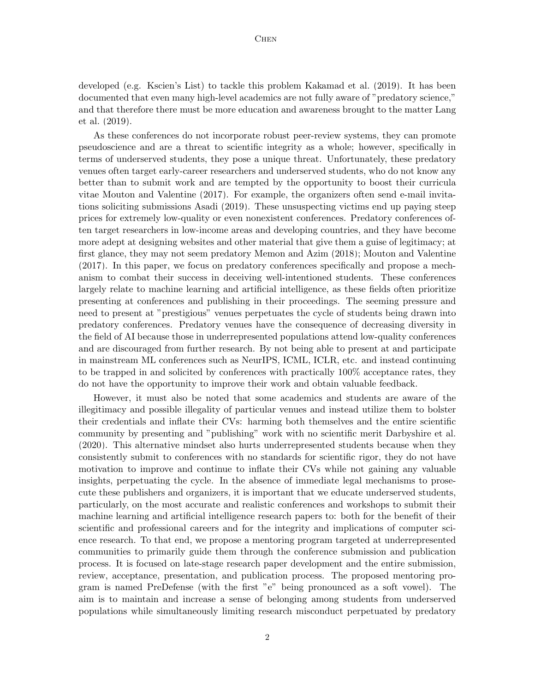developed (e.g. Kscien's List) to tackle this problem [Kakamad et al.](#page-4-5) [\(2019\)](#page-4-5). It has been documented that even many high-level academics are not fully aware of "predatory science," and that therefore there must be more education and awareness brought to the matter [Lang](#page-4-6) [et al.](#page-4-6) [\(2019\)](#page-4-6).

As these conferences do not incorporate robust peer-review systems, they can promote pseudoscience and are a threat to scientific integrity as a whole; however, specifically in terms of underserved students, they pose a unique threat. Unfortunately, these predatory venues often target early-career researchers and underserved students, who do not know any better than to submit work and are tempted by the opportunity to boost their curricula vitae [Mouton and Valentine](#page-5-2) [\(2017\)](#page-5-2). For example, the organizers often send e-mail invitations soliciting submissions [Asadi](#page-4-7) [\(2019\)](#page-4-7). These unsuspecting victims end up paying steep prices for extremely low-quality or even nonexistent conferences. Predatory conferences often target researchers in low-income areas and developing countries, and they have become more adept at designing websites and other material that give them a guise of legitimacy; at first glance, they may not seem predatory [Memon and Azim](#page-5-3) [\(2018\)](#page-5-3); [Mouton and Valentine](#page-5-2) [\(2017\)](#page-5-2). In this paper, we focus on predatory conferences specifically and propose a mechanism to combat their success in deceiving well-intentioned students. These conferences largely relate to machine learning and artificial intelligence, as these fields often prioritize presenting at conferences and publishing in their proceedings. The seeming pressure and need to present at "prestigious" venues perpetuates the cycle of students being drawn into predatory conferences. Predatory venues have the consequence of decreasing diversity in the field of AI because those in underrepresented populations attend low-quality conferences and are discouraged from further research. By not being able to present at and participate in mainstream ML conferences such as NeurIPS, ICML, ICLR, etc. and instead continuing to be trapped in and solicited by conferences with practically 100% acceptance rates, they do not have the opportunity to improve their work and obtain valuable feedback.

However, it must also be noted that some academics and students are aware of the illegitimacy and possible illegality of particular venues and instead utilize them to bolster their credentials and inflate their CVs: harming both themselves and the entire scientific community by presenting and "publishing" work with no scientific merit [Darbyshire et al.](#page-4-8) [\(2020\)](#page-4-8). This alternative mindset also hurts underrepresented students because when they consistently submit to conferences with no standards for scientific rigor, they do not have motivation to improve and continue to inflate their CVs while not gaining any valuable insights, perpetuating the cycle. In the absence of immediate legal mechanisms to prosecute these publishers and organizers, it is important that we educate underserved students, particularly, on the most accurate and realistic conferences and workshops to submit their machine learning and artificial intelligence research papers to: both for the benefit of their scientific and professional careers and for the integrity and implications of computer science research. To that end, we propose a mentoring program targeted at underrepresented communities to primarily guide them through the conference submission and publication process. It is focused on late-stage research paper development and the entire submission, review, acceptance, presentation, and publication process. The proposed mentoring program is named PreDefense (with the first "e" being pronounced as a soft vowel). The aim is to maintain and increase a sense of belonging among students from underserved populations while simultaneously limiting research misconduct perpetuated by predatory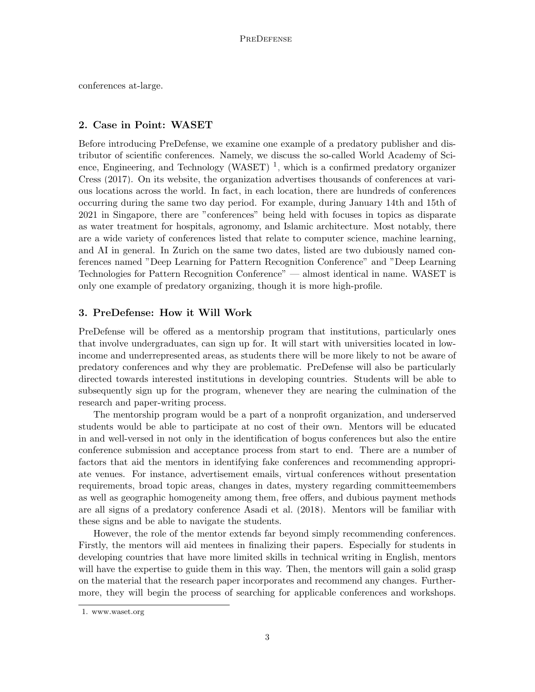conferences at-large.

# 2. Case in Point: WASET

Before introducing PreDefense, we examine one example of a predatory publisher and distributor of scientific conferences. Namely, we discuss the so-called World Academy of Sci-ence, Engineering, and Technology (WASET)<sup>[1](#page-2-0)</sup>, which is a confirmed predatory organizer [Cress](#page-4-9) [\(2017\)](#page-4-9). On its website, the organization advertises thousands of conferences at various locations across the world. In fact, in each location, there are hundreds of conferences occurring during the same two day period. For example, during January 14th and 15th of 2021 in Singapore, there are "conferences" being held with focuses in topics as disparate as water treatment for hospitals, agronomy, and Islamic architecture. Most notably, there are a wide variety of conferences listed that relate to computer science, machine learning, and AI in general. In Zurich on the same two dates, listed are two dubiously named conferences named "Deep Learning for Pattern Recognition Conference" and "Deep Learning Technologies for Pattern Recognition Conference" — almost identical in name. WASET is only one example of predatory organizing, though it is more high-profile.

#### 3. PreDefense: How it Will Work

PreDefense will be offered as a mentorship program that institutions, particularly ones that involve undergraduates, can sign up for. It will start with universities located in lowincome and underrepresented areas, as students there will be more likely to not be aware of predatory conferences and why they are problematic. PreDefense will also be particularly directed towards interested institutions in developing countries. Students will be able to subsequently sign up for the program, whenever they are nearing the culmination of the research and paper-writing process.

The mentorship program would be a part of a nonprofit organization, and underserved students would be able to participate at no cost of their own. Mentors will be educated in and well-versed in not only in the identification of bogus conferences but also the entire conference submission and acceptance process from start to end. There are a number of factors that aid the mentors in identifying fake conferences and recommending appropriate venues. For instance, advertisement emails, virtual conferences without presentation requirements, broad topic areas, changes in dates, mystery regarding committeemembers as well as geographic homogeneity among them, free offers, and dubious payment methods are all signs of a predatory conference [Asadi et al.](#page-4-10) [\(2018\)](#page-4-10). Mentors will be familiar with these signs and be able to navigate the students.

However, the role of the mentor extends far beyond simply recommending conferences. Firstly, the mentors will aid mentees in finalizing their papers. Especially for students in developing countries that have more limited skills in technical writing in English, mentors will have the expertise to guide them in this way. Then, the mentors will gain a solid grasp on the material that the research paper incorporates and recommend any changes. Furthermore, they will begin the process of searching for applicable conferences and workshops.

<span id="page-2-0"></span><sup>1.</sup> www.waset.org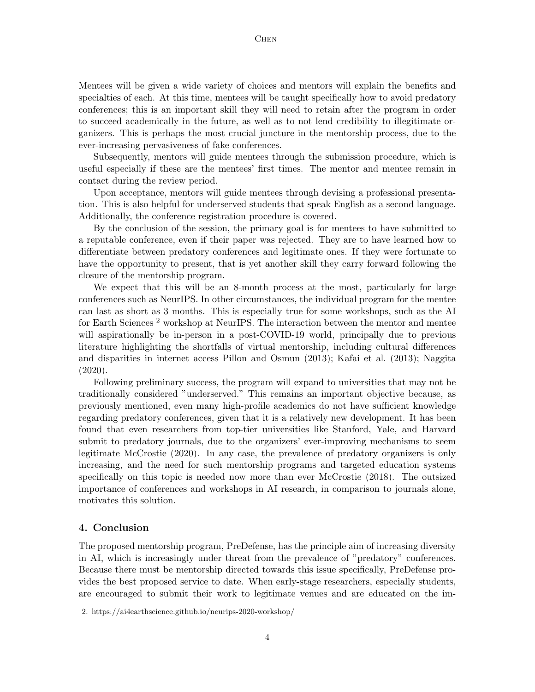#### **CHEN**

Mentees will be given a wide variety of choices and mentors will explain the benefits and specialties of each. At this time, mentees will be taught specifically how to avoid predatory conferences; this is an important skill they will need to retain after the program in order to succeed academically in the future, as well as to not lend credibility to illegitimate organizers. This is perhaps the most crucial juncture in the mentorship process, due to the ever-increasing pervasiveness of fake conferences.

Subsequently, mentors will guide mentees through the submission procedure, which is useful especially if these are the mentees' first times. The mentor and mentee remain in contact during the review period.

Upon acceptance, mentors will guide mentees through devising a professional presentation. This is also helpful for underserved students that speak English as a second language. Additionally, the conference registration procedure is covered.

By the conclusion of the session, the primary goal is for mentees to have submitted to a reputable conference, even if their paper was rejected. They are to have learned how to differentiate between predatory conferences and legitimate ones. If they were fortunate to have the opportunity to present, that is yet another skill they carry forward following the closure of the mentorship program.

We expect that this will be an 8-month process at the most, particularly for large conferences such as NeurIPS. In other circumstances, the individual program for the mentee can last as short as 3 months. This is especially true for some workshops, such as the AI for Earth Sciences<sup>[2](#page-3-0)</sup> workshop at NeurIPS. The interaction between the mentor and mentee will aspirationally be in-person in a post-COVID-19 world, principally due to previous literature highlighting the shortfalls of virtual mentorship, including cultural differences and disparities in internet access [Pillon and Osmun](#page-5-4) [\(2013\)](#page-5-4); [Kafai et al.](#page-4-11) [\(2013\)](#page-4-11); [Naggita](#page-5-5) [\(2020\)](#page-5-5).

Following preliminary success, the program will expand to universities that may not be traditionally considered "underserved." This remains an important objective because, as previously mentioned, even many high-profile academics do not have sufficient knowledge regarding predatory conferences, given that it is a relatively new development. It has been found that even researchers from top-tier universities like Stanford, Yale, and Harvard submit to predatory journals, due to the organizers' ever-improving mechanisms to seem legitimate [McCrostie](#page-5-6) [\(2020\)](#page-5-6). In any case, the prevalence of predatory organizers is only increasing, and the need for such mentorship programs and targeted education systems specifically on this topic is needed now more than ever [McCrostie](#page-5-7) [\(2018\)](#page-5-7). The outsized importance of conferences and workshops in AI research, in comparison to journals alone, motivates this solution.

#### 4. Conclusion

The proposed mentorship program, PreDefense, has the principle aim of increasing diversity in AI, which is increasingly under threat from the prevalence of "predatory" conferences. Because there must be mentorship directed towards this issue specifically, PreDefense provides the best proposed service to date. When early-stage researchers, especially students, are encouraged to submit their work to legitimate venues and are educated on the im-

<span id="page-3-0"></span><sup>2.</sup> https://ai4earthscience.github.io/neurips-2020-workshop/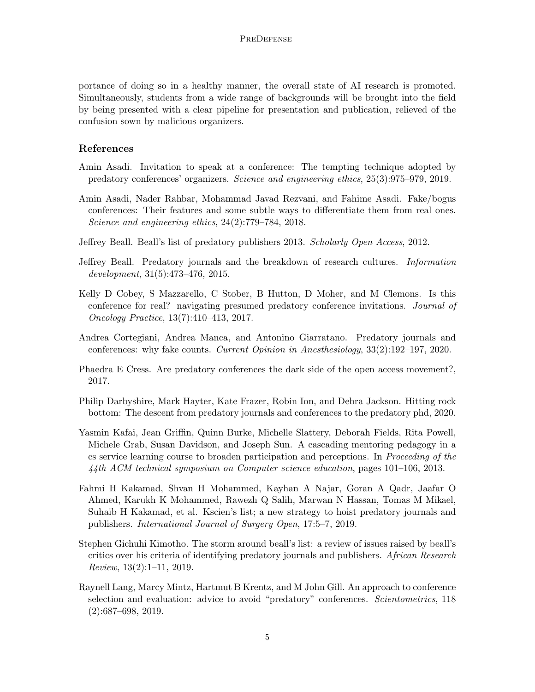portance of doing so in a healthy manner, the overall state of AI research is promoted. Simultaneously, students from a wide range of backgrounds will be brought into the field by being presented with a clear pipeline for presentation and publication, relieved of the confusion sown by malicious organizers.

# References

- <span id="page-4-7"></span>Amin Asadi. Invitation to speak at a conference: The tempting technique adopted by predatory conferences' organizers. Science and engineering ethics, 25(3):975–979, 2019.
- <span id="page-4-10"></span>Amin Asadi, Nader Rahbar, Mohammad Javad Rezvani, and Fahime Asadi. Fake/bogus conferences: Their features and some subtle ways to differentiate them from real ones. Science and engineering ethics, 24(2):779–784, 2018.
- <span id="page-4-2"></span>Jeffrey Beall. Beall's list of predatory publishers 2013. Scholarly Open Access, 2012.
- <span id="page-4-3"></span>Jeffrey Beall. Predatory journals and the breakdown of research cultures. Information development, 31(5):473–476, 2015.
- <span id="page-4-0"></span>Kelly D Cobey, S Mazzarello, C Stober, B Hutton, D Moher, and M Clemons. Is this conference for real? navigating presumed predatory conference invitations. Journal of Oncology Practice, 13(7):410–413, 2017.
- <span id="page-4-1"></span>Andrea Cortegiani, Andrea Manca, and Antonino Giarratano. Predatory journals and conferences: why fake counts. Current Opinion in Anesthesiology, 33(2):192–197, 2020.
- <span id="page-4-9"></span>Phaedra E Cress. Are predatory conferences the dark side of the open access movement?, 2017.
- <span id="page-4-8"></span>Philip Darbyshire, Mark Hayter, Kate Frazer, Robin Ion, and Debra Jackson. Hitting rock bottom: The descent from predatory journals and conferences to the predatory phd, 2020.
- <span id="page-4-11"></span>Yasmin Kafai, Jean Griffin, Quinn Burke, Michelle Slattery, Deborah Fields, Rita Powell, Michele Grab, Susan Davidson, and Joseph Sun. A cascading mentoring pedagogy in a cs service learning course to broaden participation and perceptions. In Proceeding of the 44th ACM technical symposium on Computer science education, pages 101–106, 2013.
- <span id="page-4-5"></span>Fahmi H Kakamad, Shvan H Mohammed, Kayhan A Najar, Goran A Qadr, Jaafar O Ahmed, Karukh K Mohammed, Rawezh Q Salih, Marwan N Hassan, Tomas M Mikael, Suhaib H Kakamad, et al. Kscien's list; a new strategy to hoist predatory journals and publishers. International Journal of Surgery Open, 17:5–7, 2019.
- <span id="page-4-4"></span>Stephen Gichuhi Kimotho. The storm around beall's list: a review of issues raised by beall's critics over his criteria of identifying predatory journals and publishers. African Research Review, 13(2):1–11, 2019.
- <span id="page-4-6"></span>Raynell Lang, Marcy Mintz, Hartmut B Krentz, and M John Gill. An approach to conference selection and evaluation: advice to avoid "predatory" conferences. Scientometrics, 118 (2):687–698, 2019.